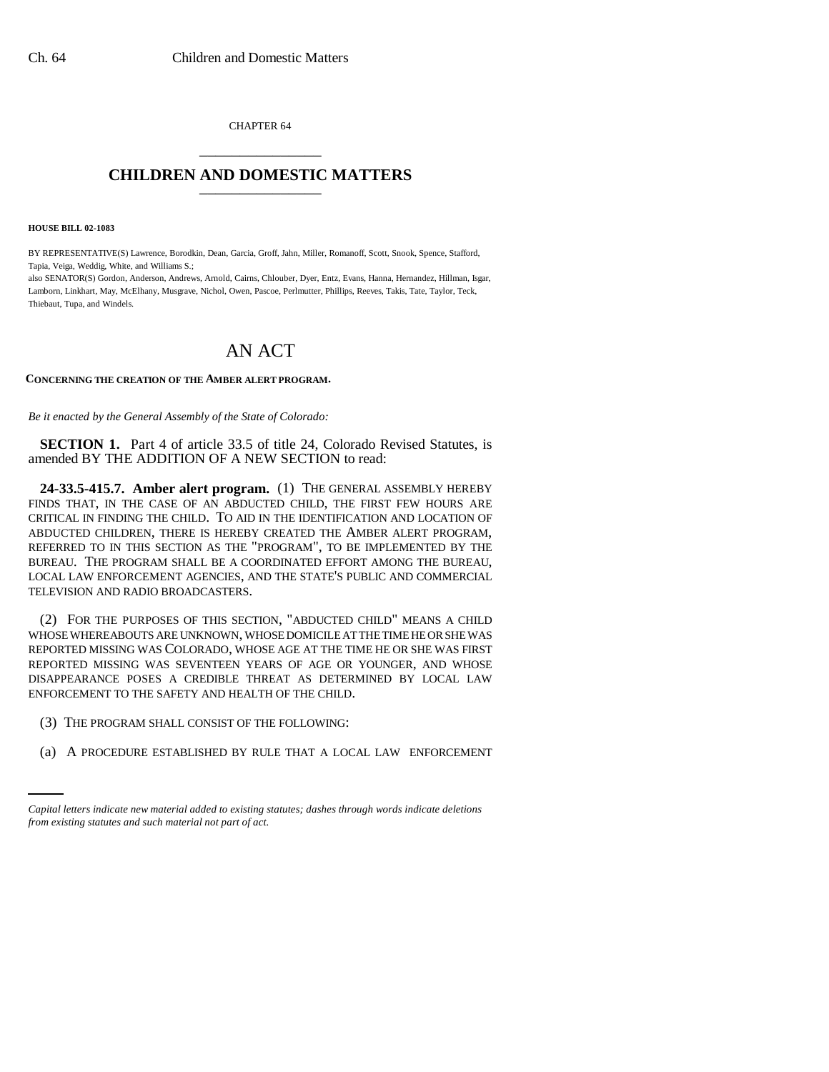CHAPTER 64 \_\_\_\_\_\_\_\_\_\_\_\_\_\_\_

## **CHILDREN AND DOMESTIC MATTERS** \_\_\_\_\_\_\_\_\_\_\_\_\_\_\_

**HOUSE BILL 02-1083**

BY REPRESENTATIVE(S) Lawrence, Borodkin, Dean, Garcia, Groff, Jahn, Miller, Romanoff, Scott, Snook, Spence, Stafford, Tapia, Veiga, Weddig, White, and Williams S.;

also SENATOR(S) Gordon, Anderson, Andrews, Arnold, Cairns, Chlouber, Dyer, Entz, Evans, Hanna, Hernandez, Hillman, Isgar, Lamborn, Linkhart, May, McElhany, Musgrave, Nichol, Owen, Pascoe, Perlmutter, Phillips, Reeves, Takis, Tate, Taylor, Teck, Thiebaut, Tupa, and Windels.

## AN ACT

## **CONCERNING THE CREATION OF THE AMBER ALERT PROGRAM.**

*Be it enacted by the General Assembly of the State of Colorado:*

**SECTION 1.** Part 4 of article 33.5 of title 24, Colorado Revised Statutes, is amended BY THE ADDITION OF A NEW SECTION to read:

**24-33.5-415.7. Amber alert program.** (1) THE GENERAL ASSEMBLY HEREBY FINDS THAT, IN THE CASE OF AN ABDUCTED CHILD, THE FIRST FEW HOURS ARE CRITICAL IN FINDING THE CHILD. TO AID IN THE IDENTIFICATION AND LOCATION OF ABDUCTED CHILDREN, THERE IS HEREBY CREATED THE AMBER ALERT PROGRAM, REFERRED TO IN THIS SECTION AS THE "PROGRAM", TO BE IMPLEMENTED BY THE BUREAU. THE PROGRAM SHALL BE A COORDINATED EFFORT AMONG THE BUREAU, LOCAL LAW ENFORCEMENT AGENCIES, AND THE STATE'S PUBLIC AND COMMERCIAL TELEVISION AND RADIO BROADCASTERS.

(2) FOR THE PURPOSES OF THIS SECTION, "ABDUCTED CHILD" MEANS A CHILD WHOSE WHEREABOUTS ARE UNKNOWN, WHOSE DOMICILE AT THE TIME HE OR SHE WAS REPORTED MISSING WAS COLORADO, WHOSE AGE AT THE TIME HE OR SHE WAS FIRST REPORTED MISSING WAS SEVENTEEN YEARS OF AGE OR YOUNGER, AND WHOSE DISAPPEARANCE POSES A CREDIBLE THREAT AS DETERMINED BY LOCAL LAW ENFORCEMENT TO THE SAFETY AND HEALTH OF THE CHILD.

- (3) THE PROGRAM SHALL CONSIST OF THE FOLLOWING:
	- (a) A PROCEDURE ESTABLISHED BY RULE THAT A LOCAL LAW ENFORCEMENT

*Capital letters indicate new material added to existing statutes; dashes through words indicate deletions from existing statutes and such material not part of act.*